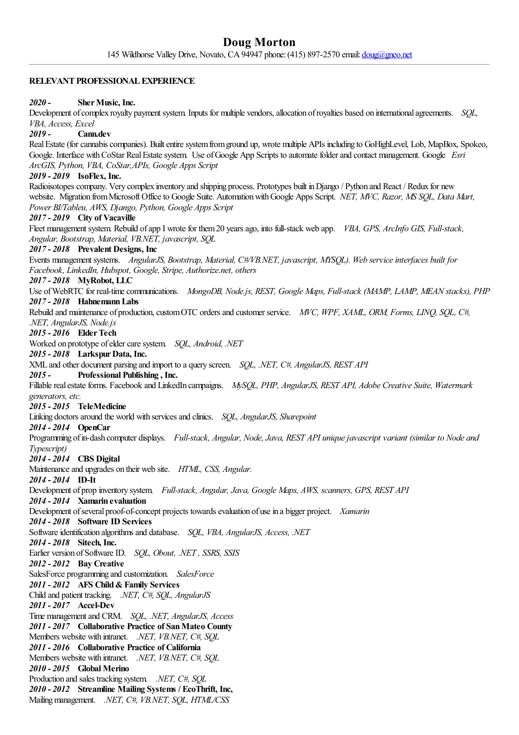## **RELEVANT PROFESSIONAL EXPERIENCE**

## *2020 -* **SherMusic, Inc.**

Development of complex royalty payment system. Inputs for multiple vendors, allocation of royalties based on international agreements. *SOL*, *VBA, Access, Excel*

# *2019 -* **Cann.dev**

Real Estate (for cannabis companies). Built entire system from ground up, wrote multiple APIs including to GoHighLevel, Lob, MapBox, Spokeo, Google. Interface with CoStar Real Estate system. Use of Google App Scripts to automate folder and contact management. Google *Esri ArcGIS, Python, VBA, CoStar,APIs, Google Apps Script*

## *2019 - 2019* **IsoFlex, Inc.**

Radioisotopes company. Very complex inventory and shipping process. Prototypes built in Django / Python and React / Redux for new website. Migration fromMicrosoft Officeto Google Suite. AutomationwithGoogle Apps Script. *NET, MVC, Razor, MS SQL, Data Mart, Power BI/Tableu, AWS, Django, Python, Google Apps Script*

### *2017 - 2019* **City of Vacaville**

Fleetmanagementsystem. Rebuild ofapp I wrotefor them20 yearsago, into full-stack web app. *VBA, GPS, ArcInfo GIS, Full-stack, Angular, Bootstrap, Material, VB.NET, javascript, SQL*

# *2017 - 2018* **Prevalent Designs, Inc**

Events management systems. *AngularJS, Bootstrap, Material, C#VB.NET, javascript, MYSOL). Web service interfaces built for Facebook, LinkedIn, Hubspot, Google, Stripe, Authorize.net, others*

# *2017 - 2018* **MyRobot, LLC**

Use ofWebRTC for real-timecommunications. *MongoDB, Node.js, REST, Google Maps, Full-stack (MAMP, LAMP, MEAN stacks), PHP 2017 - 2018* **HahnemannLabs**

Rebuild and maintenance of production,customOTC ordersand customer service. *MVC, WPF, XAML, ORM, Forms, LINQ, SQL, C#, .NET, AngularJS, Node.js*

### *2015 - 2016* **ElderTech**

Worked on prototype ofeldercaresystem. *SQL, Android, .NET*

## *2015 - 2018* **LarkspurData, Inc.**

XML and other document parsing and import to a query screen. *SQL, .NET, C#, AngularJS, REST API*

### *2015 -* **Professional Publishing , Inc.**

Fillablerealestateforms. Facebook and LinkedIn campaigns. *MySQL, PHP, AngularJS, REST API, Adobe Creative Suite, Watermark* generators, etc.

### *2015 - 2015* **TeleMedicine**

Linking doctors around the world with services and clinics. *SQL, AngularJS, Sharepoint* 

### *2014 - 2014* **OpenCar**

Programming ofin-dash computer displays. *Full-stack, Angular, Node,Java, REST API uniquejavascript variant (similar to Node and Typescript)*

# *2014 - 2014* **CBS Digital**

Maintenanceand upgrades on their web site. *HTML, CSS, Angular.*

## *2014 - 2014* **ID-It**

Development of prop inventory system. *Full-stack, Angular,Java, Google Maps, AWS, scanners, GPS, REST API*

# *2014 - 2014* **Xamarin evaluation**

Development of several proof-of-concept projects towards evaluation of use in a bigger project. *Xamarin* 

# *2014 - 2018* **Software ID Services**

Software identification algorithms and database. *SQL, VBA, AngularJS, Access, .NET* 

*2014 - 2018* **Sitech, Inc.**

Earlier version ofSoftwareID. *SQL, Obout, .NET , SSRS, SSIS*

## *2012 - 2012* **Bay Creative**

SalesForce programming and customization. *SalesForce*

### *2011 - 2012* **AFS Child&Family Services**

Child and patient tracking. *.NET, C#, SQL, AngularJS*

# *2011 - 2017* **Accel-Dev**

Time managementand CRM. *SQL, .NET, AngularJS, Access*

*2011 - 2017* **Collaborative Practice of SanMateo County**

Members website with intranet. *.NET, VB.NET, C#, SQL*

*2011 - 2016* **Collaborative Practice of California**

Members website with intranet. *.NET, VB.NET, C#, SQL*

*2010 - 2015* **Global Merino**

Production and sales tracking system. *.NET, C#, SQL 2010 - 2012* **Streamline Mailing Systems / EcoThrift, Inc,**

Mailingmanagement. *.NET, C#, VB.NET, SQL, HTML/CSS*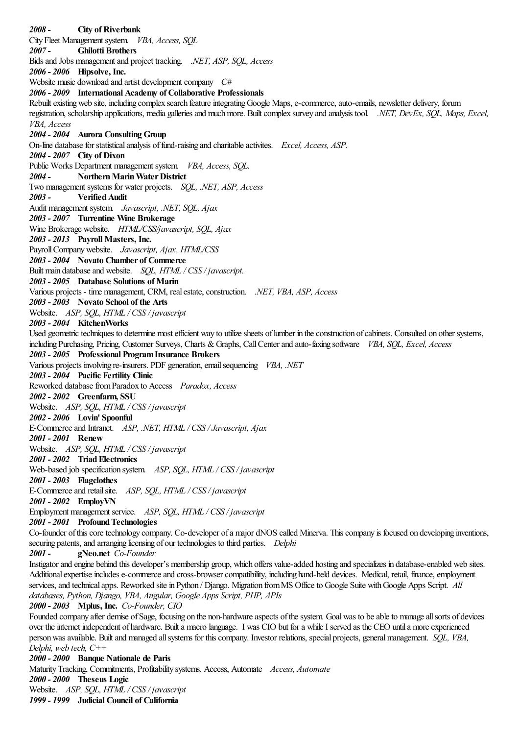*2008 -* **City of Riverbank** City Fleet Management system. *VBA, Access, SQL 2007 -* **Ghilotti Brothers** Bidsand Jobs managementand project tracking. *.NET, ASP, SQL, Access 2006 - 2006* **Hipsolve, Inc.** Website music download and artist development company  $C#$ *2006 - 2009* **International Academy of Collaborative Professionals** Rebuilt existing web site, including complex search feature integrating Google Maps, e-commerce, auto-emails, newsletter delivery, forum registration, scholarship applications, media galleriesand muchmore. Builtcomplex survey and analysis tool. *.NET, DevEx, SQL, Maps, Excel, VBA, Access 2004 - 2004* **Aurora Consulting Group** On-line database for statistical analysis of fund-raising and charitable activites. *Excel, Access, ASP*. *2004 - 2007* **City of Dixon** Public Works Department management system. *VBA, Access, SQL. 2004 -* **NorthernMarinWaterDistrict** Two management systems for water projects. *SOL, .NET, ASP, Access 2003 -* **VerifiedAudit** Auditmanagementsystem. *Javascript, .NET, SQL, Ajax 2003 - 2007* **Turrentine Wine Brokerage** Wine Brokerage website. *HTML/CSS/javascript, SQL, Ajax 2003 - 2013* **Payroll Masters, Inc.** PayrollCompanywebsite. *Javascript, Ajax, HTML/CSS 2003 - 2004* **Novato Chamber of Commerce** Built main database and website. *SQL, HTML* / *CSS* / *javascript. 2003 - 2005* **Database Solutions of Marin** Various projects - time management, CRM, realestate,construction. *.NET, VBA, ASP, Access 2003 - 2003* **Novato School of the Arts** Website. *ASP, SQL, HTML / CSS / javascript 2003 - 2004* **KitchenWorks** Used geometric techniques to determine most efficient way to utilize sheets of lumber in the construction of cabinets. Consulted on other systems, including Purchasing, Pricing, Customer Surveys, Charts &Graphs, CallCenterand auto-faxing software *VBA, SQL, Excel, Access 2003 - 2005* **Professional ProgramInsurance Brokers** Various projects involving re-insurers. PDF generation,emailsequencing *VBA, .NET 2003 - 2004* **Pacific Fertility Clinic** Reworked databasefromParadox to Access *Paradox, Access 2002 - 2002* **Greenfarm, SSU** Website. *ASP, SQL, HTML / CSS / javascript 2002 - 2006* **Lovin' Spoonful** E-Commerceand Intranet. *ASP, .NET, HTML / CSS /Javascript, Ajax 2001 - 2001* **Renew** Website. *ASP, SQL, HTML / CSS / javascript 2001 - 2002* **TriadElectronics** Web-based job specification system. *ASP, SQL, HTML / CSS / javascript 2001 - 2003* **Flagclothes** E-Commerceand retailsite. *ASP, SQL, HTML / CSS / javascript 2001 - 2002* **EmployVN** Employment management service. *ASP, SOL, HTML* / *CSS* / *javascript 2001 - 2001* **ProfoundTechnologies** Co-founder of this core technology company. Co-developer of a major dNOS called Minerva. This company is focused on developing inventions, securing patents, and arranging licensing of our technologies to third parties. *Delphi 2001 -* **gNeo.net** *Co-Founder* Instigatorand engine behind this developer's membership group, which offers value-added hosting and specializes in database-enabled web sites. Additional expertise includes e-commerce and cross-browser compatibility, including hand-held devices. Medical, retail, finance, employment services, and technical apps. Reworked site in Python / Django. Migration from MS Office to Google Suite with Google Apps Script. *All databases, Python, Django, VBA, Angular, Google Apps Script, PHP, APIs 2000 - 2003* **Mplus, Inc.** *Co-Founder, CIO* Founded company after demise of Sage, focusing on the non-hardware aspects of the system. Goal was to be able to manage all sorts of devices over theinternet independent of hardware. Builta macro language. I was CIO but fora whileI served as the CEO untila moreexperienced personwasavailable. Builtand managed allsystems for thiscompany. Investor relations, special projects, generalmanagement. *SQL, VBA, Delphi, web tech, C++ 2000 - 2000* **Banque Nationale de Paris** MaturityTracking, Commitments, Profitability systems. Access, Automate *Access, Automate 2000 - 2000* **Theseus Logic**

Website. *ASP, SQL, HTML / CSS / javascript*

*1999 - 1999* **Judicial Council of California**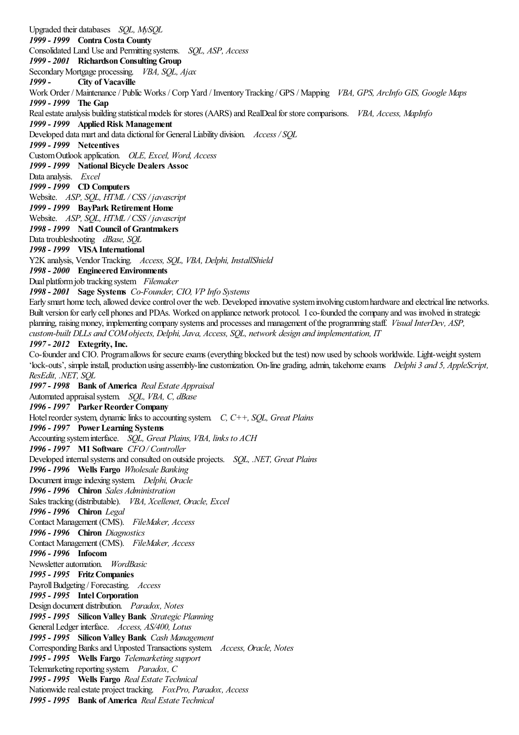Upgraded their databases *SQL, MySQL 1999 - 1999* **Contra Costa County** Consolidated Land Useand Permitting systems. *SQL, ASP, Access 1999 - 2001* **RichardsonConsulting Group** SecondaryMortgage processing. *VBA, SQL, Ajax 1999 -* **City of Vacaville** Work Order / Maintenance/ Public Works / Corp Yard / InventoryTracking / GPS / Mapping *VBA, GPS, ArcInfo GIS, Google Maps 1999 - 1999* **The Gap** Realestateanalysis building statisticalmodels for stores (AARS)and RealDealfor storecomparisons. *VBA, Access, MapInfo 1999 - 1999* **AppliedRisk Management** Developed data mart and data dictional for General Liability division. *Access* / SOL *1999 - 1999* **Netcentives** CustomOutlook application. *OLE, Excel, Word, Access 1999 - 1999* **National Bicycle Dealers Assoc** Data analysis. *Excel 1999 - 1999* **CD Computers** Website. *ASP, SQL, HTML / CSS / javascript 1999 - 1999* **BayPark Retirement Home** Website. *ASP, SQL, HTML / CSS / javascript 1998 - 1999* **Natl Council of Grantmakers** Datatroubleshooting *dBase, SQL 1998 - 1999* **VISAInternational** Y2K analysis, Vendor Tracking. *Access, SQL, VBA, Delphi, InstallShield 1998 - 2000* **EngineeredEnvironments** Dual platformjob tracking system *Filemaker 1998 - 2001* **Sage Systems** *Co-Founder, CIO, VP Info Systems* Early smart home tech, allowed device control over the web. Developed innovative system involving custom hardware and electrical line networks. Built version for early cell phones and PDAs. Worked on appliance network protocol. I co-founded the company and was involved in strategic planning, raisingmoney, implementing company systemsand processesand management ofthe programming staff. *Visual InterDev, ASP, custom-built DLLs and COMobjects, Delphi,Java, Access, SQL, network design and implementation, IT 1997 - 2012* **Extegrity, Inc.** Co-founder and CIO. Program allows for secure exams (everything blocked but the test) now used by schools worldwide. Light-weight system 'lock-outs', simpleinstall, production using assembly-linecustomization. On-line grading,admin, takehomeexams *Delphi 3 and 5, AppleScript, ResEdit, .NET, SQL 1997 - 1998* **Bank of America** *Real Estate Appraisal* Automated appraisalsystem. *SQL, VBA, C, dBase 1996 - 1997* **ParkerReorderCompany** Hotel reorder system, dynamic links to accounting system. *C, C++, SOL, Great Plains 1996 - 1997* **PowerLearning Systems** Accounting systeminterface. *SQL, Great Plains, VBA, links to ACH 1996 - 1997* **M1 Software** *CFO/ Controller* Developed internalsystemsand consulted on outside projects. *SQL, .NET, Great Plains 1996 - 1996* **Wells Fargo** *Wholesale Banking* Document image indexing system. *Delphi, Oracle 1996 - 1996* **Chiron** *Sales Administration* Sales tracking (distributable). *VBA, Xcellenet, Oracle, Excel 1996 - 1996* **Chiron** *Legal* Contact Management (CMS). *FileMaker, Access 1996 - 1996* **Chiron** *Diagnostics* Contact Management (CMS). *FileMaker, Access 1996 - 1996* **Infocom** Newsletterautomation. *WordBasic 1995 - 1995* **FritzCompanies** PayrollBudgeting / Forecasting. *Access 1995 - 1995* **Intel Corporation** Design document distribution. *Paradox, Notes 1995 - 1995* **SiliconValley Bank** *Strategic Planning* GeneralLedger interface. *Access, AS/400, Lotus 1995 - 1995* **SiliconValley Bank** *Cash Management* Corresponding Banks and Unposted Transactions system. *Access, Oracle, Notes 1995 - 1995* **Wells Fargo** *Telemarketing support* Telemarketing reporting system. *Paradox, C 1995 - 1995* **Wells Fargo** *Real Estate Technical* Nationwide real estate project tracking. *FoxPro, Paradox, Access 1995 - 1995* **Bank of America** *Real Estate Technical*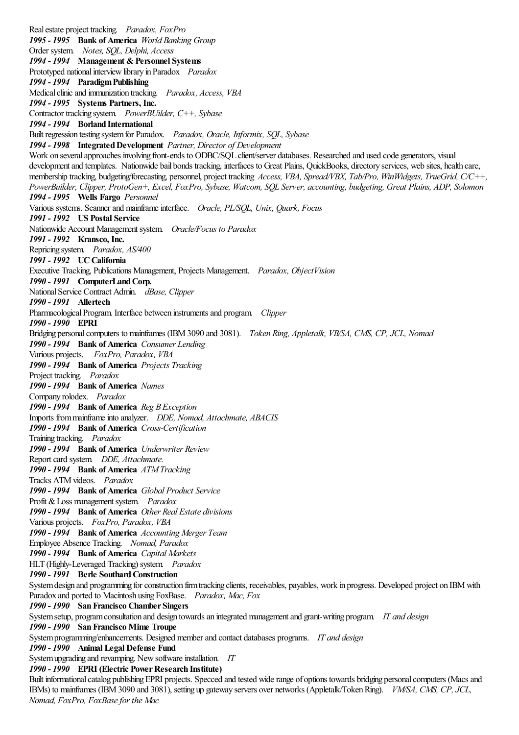Realestate project tracking. *Paradox, FoxPro 1995 - 1995* **Bank of America** *World Banking Group* Order system. *Notes, SQL, Delphi, Access 1994 - 1994* **Management &Personnel Systems** Prototyped national interview library in Paradox *Paradox 1994 - 1994* **ParadigmPublishing** Medicalclinicand immunization tracking. *Paradox, Access, VBA 1994 - 1995* **Systems Partners, Inc.** Contractor tracking system. *PowerBUilder, C++, Sybase 1994 - 1994* **Borland International** Built regression testing systemfor Paradox. *Paradox, Oracle, Informix, SQL, Sybase 1994 - 1998* **IntegratedDevelopment** *Partner, Director of Development* Work on several approaches involving front-ends to ODBC/SQL client/server databases. Researched and used code generators, visual development and templates. Nationwide bail bonds tracking, interfaces to Great Plains, QuickBooks, directory services, web sites, health care, membership tracking, budgeting/forecasting, personnel, project tracking *Access, VBA, Spread/VBX, Tab/Pro, WinWidgets, TrueGrid, C/C++,* PowerBuilder, Clipper, ProtoGen+, Excel, FoxPro, Sybase, Watcom, SOL Server, accounting, budgeting, Great Plains, ADP, Solomon *1994 - 1995* **Wells Fargo** *Personnel* Various systems. Scannerand mainframeinterface. *Oracle, PL/SQL, Unix, Quark, Focus 1991 - 1992* **US Postal Service** Nationwide Account Management system. Oracle/Focus to Paradox *1991 - 1992* **Kransco, Inc.** Repricing system. *Paradox, AS/400 1991 - 1992* **UCCalifornia** Executive Tracking, Publications Management, Projects Management. *Paradox, ObjectVision 1990 - 1991* **ComputerLandCorp.** NationalService Contract Admin. *dBase, Clipper 1990 - 1991* **Allertech** Pharmacological Program. Interface between instruments and program. *Clipper 1990 - 1990* **EPRI** Bridging personalcomputers to mainframes (IBM3090 and 3081). *Token Ring, Appletalk, VB/SA, CMS, CP,JCL, Nomad 1990 - 1994* **Bank of America** *Consumer Lending* Various projects. *FoxPro, Paradox, VBA 1990 - 1994* **Bank of America** *Projects Tracking* Project tracking. *Paradox 1990 - 1994* **Bank of America** *Names* Company rolodex. *Paradox 1990 - 1994* **Bank of America** *Reg B Exception* Imports frommainframeinto analyzer. *DDE, Nomad, Attachmate, ABACIS 1990 - 1994* **Bank of America** *Cross-Certification* Training tracking. *Paradox 1990 - 1994* **Bank of America** *Underwriter Review* Report card system. *DDE, Attachmate. 1990 - 1994* **Bank of America** *ATMTracking* Tracks ATMvideos. *Paradox 1990 - 1994* **Bank of America** *Global Product Service* Profit & Loss management system. *Paradox 1990 - 1994* **Bank of America** *Other Real Estate divisions* Various projects. *FoxPro, Paradox, VBA 1990 - 1994* **Bank of America** *Accounting Merger Team* Employee Absence Tracking. *Nomad, Paradox 1990 - 1994* **Bank of America** *Capital Markets* HLT (Highly-Leveraged Tracking) system. *Paradox 1990 - 1991* **Berle SouthardConstruction** System design and programming for construction firm tracking clients, receivables, payables, work in progress. Developed project on IBM with Paradox and ported to Macintosh using FoxBase. *Paradox, Mac, Fox 1990 - 1990* **SanFrancisco Chamber Singers** Systemsetup, programconsultation and design towardsan integrated managementand grant-writing program. *IT and design 1990 - 1990* **SanFrancisco Mime Troupe** Systemprogramming/enhancements. Designed memberand contact databases programs. *IT and design 1990 - 1990* **Animal Legal Defense Fund** System upgrading and revamping. New software installation. *IT 1990 - 1990* **EPRI (Electric PowerResearch Institute)** Built informational catalog publishing EPRI projects. Specced and tested wide range of options towards bridging personal computers (Macs and IBMs) to mainframes (IBM3090 and 3081), setting up gateway servers over networks (Appletalk/TokenRing). *VM/SA, CMS, CP,JCL, Nomad, FoxPro, FoxBasefor the Mac*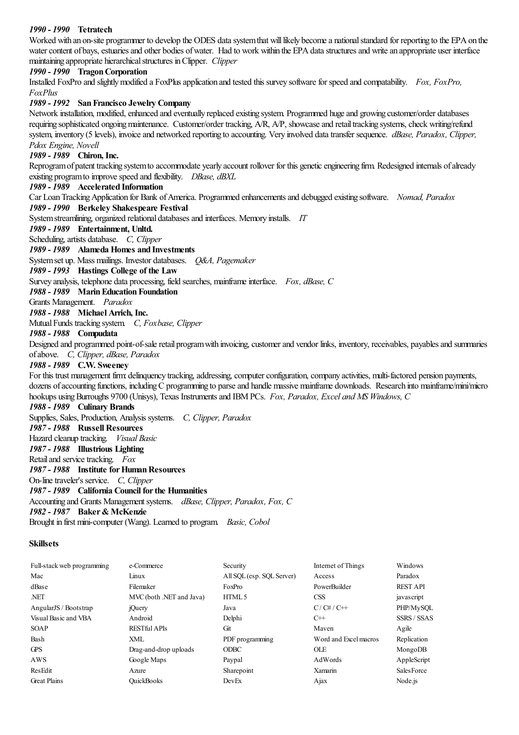## *1990 - 1990* **Tetratech**

Worked with an on-site programmer to develop the ODES data system that will likely become a national standard for reporting to the EPA on the water content of bays, estuaries and other bodies of water. Had to work within the EPA data structures and write an appropriate user interface maintaining appropriate hierarchical structures in Clipper. *Clipper* 

## *1990 - 1990* **TragonCorporation**

Installed FoxPro and slightly modified a FoxPlus application and tested this survey software for speed and compatability. *Fox, FoxPro, FoxPlus*

## *1989 - 1992* **SanFrancisco Jewelry Company**

Network installation, modified, enhanced and eventually replaced existing system. Programmed huge and growing customer/order databases requiring sophisticated ongoing maintenance. Customer/order tracking, A/R, A/P, showcase and retail tracking systems, check writing/refund system, inventory (5 levels), invoiceand networked reporting to accounting. Very involved datatransfer sequence. *dBase, Paradox, Clipper, Pdox Engine, Novell*

## *1989 - 1989* **Chiron, Inc.**

Reprogram of patent tracking system to accommodate yearly account rollover for this genetic engineering firm. Redesigned internals of already existing programto improvespeed and flexibility. *DBase, dBXL*

## *1989 - 1989* **Accelerated Information**

Car LoanTrackingApplication for Bank ofAmerica. Programmed enhancementsand debugged existing software. *Nomad, Paradox*

# *1989 - 1990* **Berkeley Shakespeare Festival**

System streamlining, organized relational databases and interfaces. Memory installs. *IT* 

# *1989 - 1989* **Entertainment, Unltd.**

Scheduling, artists database. *C, Clipper* 

## *1989 - 1989* **Alameda Homes and Investments**

Systemset up. Mass mailings. Investor databases. *Q&A, Pagemaker*

*1989 - 1993* **Hastings College of the Law**

Survey analysis, telephone data processing, field searches, mainframeinterface. *Fox, dBase, C*

### *1988 - 1989* **MarinEducationFoundation**

Grants Management. *Paradox*

# *1988 - 1988* **Michael Arrich, Inc.**

MutualFunds tracking system. *C, Foxbase, Clipper*

## *1988 - 1988* **Compudata**

Designed and programmed point-of-sale retail program with invoicing, customer and vendor links, inventory, receivables, payables and summaries ofabove. *C, Clipper, dBase, Paradox*

### *1988 - 1989* **C.W. Sweeney**

For this trust management firm: delinquency tracking, addressing, computer configuration, company activities, multi-factored pension payments, dozens of accounting functions, including C programming to parse and handle massive mainframe downloads. Research into mainframe/mini/micro hookups usingBurroughs 9700 (Unisys), Texas Instrumentsand IBMPCs. *Fox, Paradox, Excel and MS Windows, C*

#### *1988 - 1989* **Culinary Brands**

Supplies, Sales, Production, Analysis systems. *C, Clipper, Paradox 1987 - 1988* **Russell Resources** Hazard cleanup tracking. *Visual Basic 1987 - 1988* **Illustrious Lighting** Retail and service tracking. *Fox 1987 - 1988* **Institute forHumanResources** On-linetraveler's service. *C, Clipper 1987 - 1989* **California Council forthe Humanities** Accounting and Grants Managementsystems. *dBase, Clipper, Paradox, Fox, C 1982 - 1987* **Baker& McKenzie**

Brought in firstmini-computer (Wang). Learned to program. *Basic, Cobol*

### **Skillsets**

| Full-stack web programming | e-Commerce               | Security                  | Internet of Things    | Windows            |
|----------------------------|--------------------------|---------------------------|-----------------------|--------------------|
| Mac                        | Linux                    | All SQL (esp. SQL Server) | Access                | Paradox            |
| dBase                      | Filemaker                | FoxPro                    | PowerBuilder          | <b>REST API</b>    |
| NET.                       | MVC (both .NET and Java) | HTML <sub>5</sub>         | <b>CSS</b>            | javascript         |
| AngularJS / Bootstrap      | jQuery                   | Java                      | $C/C\#/C++$           | PHP/MySOL          |
| Visual Basic and VBA       | Android                  | Delphi                    | $C++$                 | <b>SSRS / SSAS</b> |
| <b>SOAP</b>                | <b>RESTful APIs</b>      | Git                       | Maven                 | Agile              |
| Bash                       | XML                      | PDF programming           | Word and Excel macros | Replication        |
| <b>GPS</b>                 | Drag-and-drop uploads    | <b>ODBC</b>               | <b>OLE</b>            | MongoDB            |
| AWS                        | Google Maps              | Paypal                    | AdWords               | AppleScript        |
| ResEdit                    | Azure                    | Sharepoint                | Xamarin               | <b>SalesForce</b>  |
| <b>Great Plains</b>        | <b>OuickBooks</b>        | DevEx                     | Ajax                  | Node.js            |